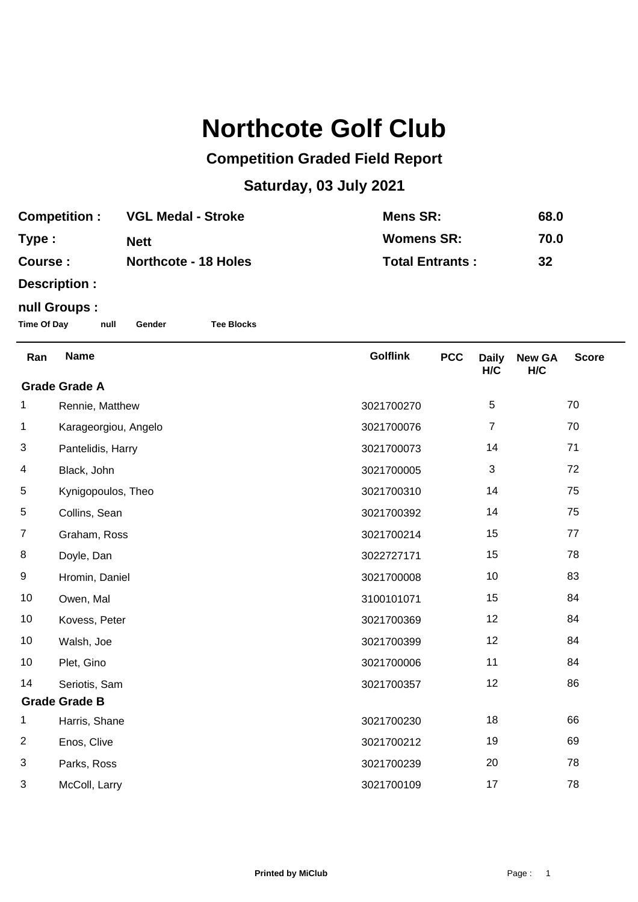## **Northcote Golf Club**

## **Competition Graded Field Report**

## **Saturday, 03 July 2021**

| <b>Competition:</b> | <b>VGL Medal - Stroke</b>   | Mens SR:               | 68.0 |
|---------------------|-----------------------------|------------------------|------|
| Type:               | <b>Nett</b>                 | <b>Womens SR:</b>      | 70.0 |
| Course :            | <b>Northcote - 18 Holes</b> | <b>Total Entrants:</b> | 32   |

**Description :**

## **null Groups :**

**Time Of Day null Gender Tee Blocks**

| Ran                                | <b>Name</b>          | <b>Golflink</b> | <b>PCC</b> | <b>Daily</b>   | <b>New GA</b> | <b>Score</b> |
|------------------------------------|----------------------|-----------------|------------|----------------|---------------|--------------|
| H/C<br>H/C<br><b>Grade Grade A</b> |                      |                 |            |                |               |              |
| 1                                  | Rennie, Matthew      | 3021700270      |            | 5              |               | 70           |
| 1                                  | Karageorgiou, Angelo | 3021700076      |            | $\overline{7}$ |               | 70           |
| 3                                  | Pantelidis, Harry    | 3021700073      |            | 14             |               | 71           |
| 4                                  | Black, John          | 3021700005      |            | $\mathbf{3}$   |               | 72           |
| 5                                  | Kynigopoulos, Theo   | 3021700310      |            | 14             |               | 75           |
| 5                                  | Collins, Sean        | 3021700392      |            | 14             |               | 75           |
| $\overline{7}$                     | Graham, Ross         | 3021700214      |            | 15             |               | 77           |
| 8                                  | Doyle, Dan           | 3022727171      |            | 15             |               | 78           |
| 9                                  | Hromin, Daniel       | 3021700008      |            | 10             |               | 83           |
| 10                                 | Owen, Mal            | 3100101071      |            | 15             |               | 84           |
| 10                                 | Kovess, Peter        | 3021700369      |            | 12             |               | 84           |
| 10                                 | Walsh, Joe           | 3021700399      |            | 12             |               | 84           |
| 10                                 | Plet, Gino           | 3021700006      |            | 11             |               | 84           |
| 14                                 | Seriotis, Sam        | 3021700357      |            | 12             |               | 86           |
| <b>Grade Grade B</b>               |                      |                 |            |                |               |              |
| 1                                  | Harris, Shane        | 3021700230      |            | 18             |               | 66           |
| $\overline{2}$                     | Enos, Clive          | 3021700212      |            | 19             |               | 69           |
| 3                                  | Parks, Ross          | 3021700239      |            | 20             |               | 78           |
| 3                                  | McColl, Larry        | 3021700109      |            | 17             |               | 78           |